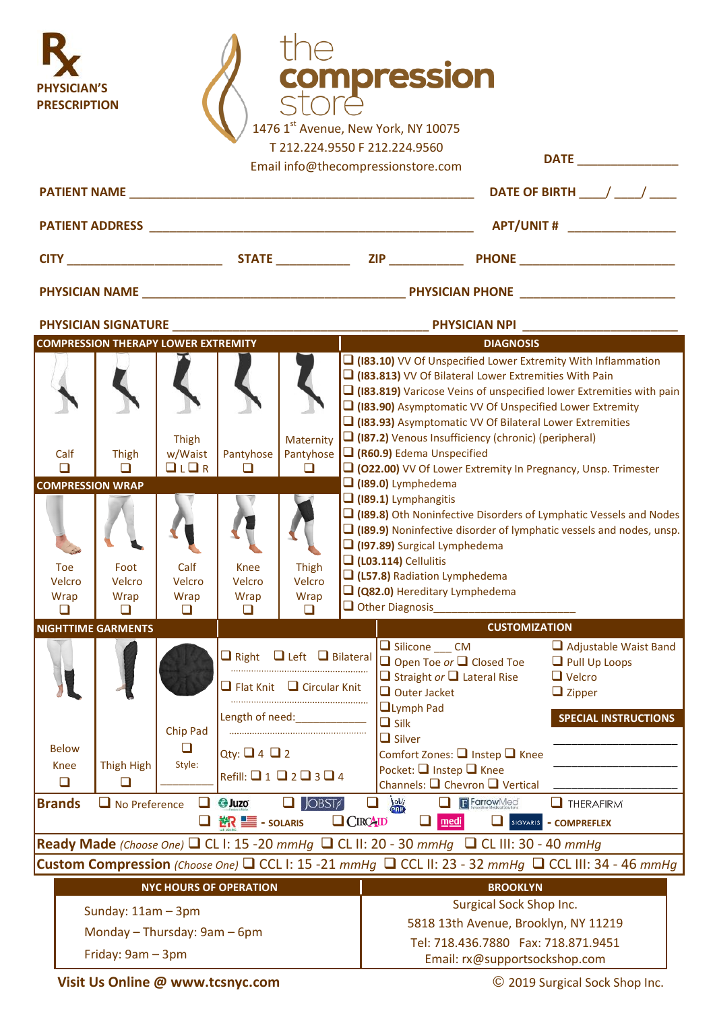| <b>PHYSICIAN'S</b><br><b>PRESCRIPTION</b>                                                                                 |                            |                                                         |                         |                                                                                                                                                                                                       |                      | compression<br>1476 1st Avenue, New York, NY 10075<br>T 212.224.9550 F 212.224.9560<br>Email info@thecompressionstore.com                                                                                                                                                                                                                                                                                                                                                                                                                                                                                                                                                                                                                                                                   |            |                                          |                                                                                                                       |  |  |
|---------------------------------------------------------------------------------------------------------------------------|----------------------------|---------------------------------------------------------|-------------------------|-------------------------------------------------------------------------------------------------------------------------------------------------------------------------------------------------------|----------------------|---------------------------------------------------------------------------------------------------------------------------------------------------------------------------------------------------------------------------------------------------------------------------------------------------------------------------------------------------------------------------------------------------------------------------------------------------------------------------------------------------------------------------------------------------------------------------------------------------------------------------------------------------------------------------------------------------------------------------------------------------------------------------------------------|------------|------------------------------------------|-----------------------------------------------------------------------------------------------------------------------|--|--|
|                                                                                                                           |                            | <b>PATIENT NAME EXAMPLE AND RESIDENCE AND RESIDENCE</b> |                         |                                                                                                                                                                                                       |                      | DATE OF BIRTH $\frac{1}{2}$                                                                                                                                                                                                                                                                                                                                                                                                                                                                                                                                                                                                                                                                                                                                                                 |            |                                          |                                                                                                                       |  |  |
|                                                                                                                           |                            |                                                         |                         |                                                                                                                                                                                                       |                      |                                                                                                                                                                                                                                                                                                                                                                                                                                                                                                                                                                                                                                                                                                                                                                                             |            |                                          |                                                                                                                       |  |  |
|                                                                                                                           |                            |                                                         |                         |                                                                                                                                                                                                       |                      | <b>CITY STATE STATE STATE STATE STATE STATE STATE STATE STATE STATE</b>                                                                                                                                                                                                                                                                                                                                                                                                                                                                                                                                                                                                                                                                                                                     |            |                                          |                                                                                                                       |  |  |
|                                                                                                                           |                            |                                                         |                         |                                                                                                                                                                                                       |                      |                                                                                                                                                                                                                                                                                                                                                                                                                                                                                                                                                                                                                                                                                                                                                                                             |            |                                          |                                                                                                                       |  |  |
|                                                                                                                           | <b>PHYSICIAN SIGNATURE</b> |                                                         | <b>PHYSICIAN NPI</b>    |                                                                                                                                                                                                       |                      |                                                                                                                                                                                                                                                                                                                                                                                                                                                                                                                                                                                                                                                                                                                                                                                             |            |                                          |                                                                                                                       |  |  |
|                                                                                                                           |                            | <b>COMPRESSION THERAPY LOWER EXTREMITY</b>              |                         |                                                                                                                                                                                                       |                      | <b>DIAGNOSIS</b>                                                                                                                                                                                                                                                                                                                                                                                                                                                                                                                                                                                                                                                                                                                                                                            |            |                                          |                                                                                                                       |  |  |
| Calf<br>□<br><b>COMPRESSION WRAP</b><br>Toe                                                                               | Thigh<br>□<br>Foot         | Thigh<br>w/Waist<br>LLR<br>Calf                         | Pantyhose<br>◻<br>Knee  | Maternity<br>Pantyhose<br>◻<br>Thigh                                                                                                                                                                  |                      | $\Box$ (183.10) VV Of Unspecified Lower Extremity With Inflammation<br>$\Box$ (183.813) VV Of Bilateral Lower Extremities With Pain<br>$\Box$ (183.819) Varicose Veins of unspecified lower Extremities with pain<br>(183.90) Asymptomatic VV Of Unspecified Lower Extremity<br>$\Box$ (183.93) Asymptomatic VV Of Bilateral Lower Extremities<br>$\Box$ (187.2) Venous Insufficiency (chronic) (peripheral)<br>$\Box$ (R60.9) Edema Unspecified<br>[O22.00] VV Of Lower Extremity In Pregnancy, Unsp. Trimester<br>$\Box$ (189.0) Lymphedema<br>$\Box$ (189.1) Lymphangitis<br>□ (189.8) Oth Noninfective Disorders of Lymphatic Vessels and Nodes<br>□ (189.9) Noninfective disorder of lymphatic vessels and nodes, unsp.<br>(197.89) Surgical Lymphedema<br>$\Box$ (L03.114) Cellulitis |            |                                          |                                                                                                                       |  |  |
| Velcro<br>Wrap<br>□                                                                                                       | Velcro<br>Wrap<br>□        | Velcro<br>Wrap<br>□                                     | Velcro<br>Wrap<br>□     | Velcro<br>Wrap<br>□                                                                                                                                                                                   |                      | (L57.8) Radiation Lymphedema<br>Q (Q82.0) Hereditary Lymphedema<br>$\Box$ Other Diagnosis                                                                                                                                                                                                                                                                                                                                                                                                                                                                                                                                                                                                                                                                                                   |            |                                          |                                                                                                                       |  |  |
|                                                                                                                           | <b>NIGHTTIME GARMENTS</b>  |                                                         |                         |                                                                                                                                                                                                       | <b>CUSTOMIZATION</b> |                                                                                                                                                                                                                                                                                                                                                                                                                                                                                                                                                                                                                                                                                                                                                                                             |            |                                          |                                                                                                                       |  |  |
| <b>Below</b>                                                                                                              |                            | Chip Pad<br>□                                           | Qty: $\Box$ 4 $\Box$ 2  | $\Box$ Right $\Box$ Left $\Box$ Bilateral<br>$\Box$ Flat Knit $\Box$ Circular Knit<br>Length of need: The control of the control of the control of the control of the control of the control of the c |                      | $\Box$ Silicone CM<br>Open Toe or Q Closed Toe<br>$\Box$ Straight or $\Box$ Lateral Rise<br>$\Box$ Outer Jacket<br><b>QLymph Pad</b><br>$\Box$ Silk<br>$\Box$ Silver                                                                                                                                                                                                                                                                                                                                                                                                                                                                                                                                                                                                                        |            | Comfort Zones: □ Instep □ Knee           | $\Box$ Adjustable Waist Band<br>$\Box$ Pull Up Loops<br>$\Box$ Velcro<br>$\Box$ Zipper<br><b>SPECIAL INSTRUCTIONS</b> |  |  |
| Knee<br>$\Box$                                                                                                            | Thigh High<br>❏            | Style:                                                  |                         | Refill: $\Box$ 1 $\Box$ 2 $\Box$ 3 $\Box$ 4                                                                                                                                                           |                      | Pocket: $\Box$ Instep $\Box$ Knee                                                                                                                                                                                                                                                                                                                                                                                                                                                                                                                                                                                                                                                                                                                                                           |            |                                          |                                                                                                                       |  |  |
| <b>Brands</b>                                                                                                             | $\Box$ No Preference       |                                                         | $\Box$ $\bigoplus$ Juzo | $\Box$ JOBST/                                                                                                                                                                                         | u                    | 當                                                                                                                                                                                                                                                                                                                                                                                                                                                                                                                                                                                                                                                                                                                                                                                           | FFarrowMed | Channels: $\Box$ Chevron $\Box$ Vertical | $\Box$ THERAFIRM                                                                                                      |  |  |
| $\Box$ $C}$ $RQ$ <sub>ID</sub><br><b>in <br/> in 1</b> - solaris                                                          |                            |                                                         |                         |                                                                                                                                                                                                       |                      |                                                                                                                                                                                                                                                                                                                                                                                                                                                                                                                                                                                                                                                                                                                                                                                             | medi       | SIGVARIS                                 | - COMPREFLEX                                                                                                          |  |  |
| <b>Ready Made</b> (Choose One) $\Box$ CL 1: 15 -20 mmHg $\Box$ CL 11: 20 - 30 mmHg $\Box$ CL 111: 30 - 40 mmHg            |                            |                                                         |                         |                                                                                                                                                                                                       |                      |                                                                                                                                                                                                                                                                                                                                                                                                                                                                                                                                                                                                                                                                                                                                                                                             |            |                                          |                                                                                                                       |  |  |
| <b>Custom Compression</b> (Choose One) $\Box$ CCL 1: 15 -21 mmHg $\Box$ CCL 11: 23 - 32 mmHg $\Box$ CCL 111: 34 - 46 mmHg |                            |                                                         |                         |                                                                                                                                                                                                       |                      |                                                                                                                                                                                                                                                                                                                                                                                                                                                                                                                                                                                                                                                                                                                                                                                             |            |                                          |                                                                                                                       |  |  |
| <b>NYC HOURS OF OPERATION</b><br>Sunday: $11am - 3pm$<br>Monday - Thursday: 9am - 6pm<br>Friday: 9am - 3pm                |                            |                                                         |                         |                                                                                                                                                                                                       |                      | <b>BROOKLYN</b><br>Surgical Sock Shop Inc.<br>5818 13th Avenue, Brooklyn, NY 11219<br>Tel: 718.436.7880  Fax: 718.871.9451<br>Email: rx@supportsockshop.com                                                                                                                                                                                                                                                                                                                                                                                                                                                                                                                                                                                                                                 |            |                                          |                                                                                                                       |  |  |

**Visit Us Online [@ www.tcsnyc.c](http://www.tcsnyc/)om**

© 2019 Surgical Sock Shop Inc.